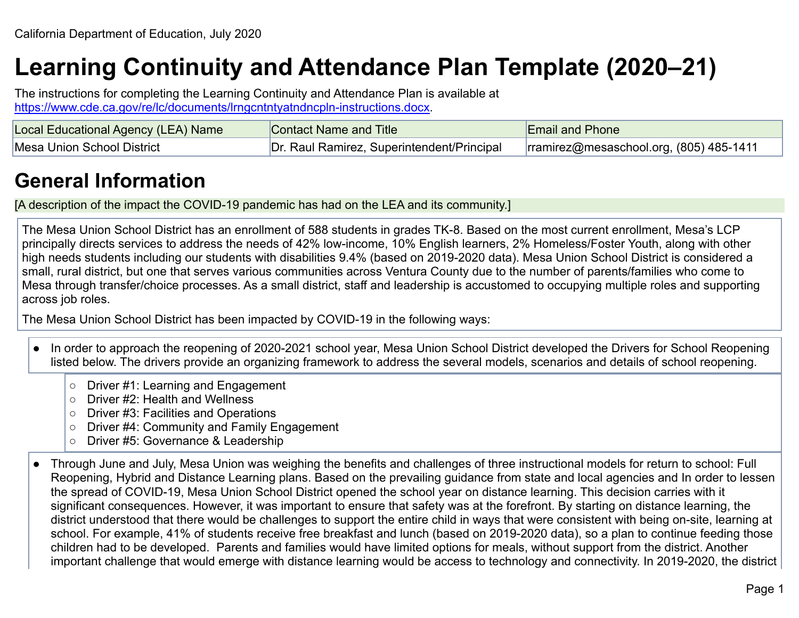# **Learning Continuity and Attendance Plan Template (2020–21)**

The instructions for completing the Learning Continuity and Attendance Plan is available at [https://www.cde.ca.gov/re/lc/documents/lrngcntntyatndncpln-instructions.docx.](https://www.cde.ca.gov/re/lc/documents/lrngcntntyatndncpln-instructions.docx)

| Local Educational Agency (LEA) Name | Contact Name and Title                     | <b>Email and Phone</b>                  |
|-------------------------------------|--------------------------------------------|-----------------------------------------|
| Mesa Union School District          | Dr. Raul Ramirez, Superintendent/Principal | rramirez@mesaschool.org, (805) 485-1411 |

## **General Information**

[A description of the impact the COVID-19 pandemic has had on the LEA and its community.]

The Mesa Union School District has an enrollment of 588 students in grades TK-8. Based on the most current enrollment, Mesa's LCP principally directs services to address the needs of 42% low-income, 10% English learners, 2% Homeless/Foster Youth, along with other high needs students including our students with disabilities 9.4% (based on 2019-2020 data). Mesa Union School District is considered a small, rural district, but one that serves various communities across Ventura County due to the number of parents/families who come to Mesa through transfer/choice processes. As a small district, staff and leadership is accustomed to occupying multiple roles and supporting across job roles.

The Mesa Union School District has been impacted by COVID-19 in the following ways:

- In order to approach the reopening of 2020-2021 school year, Mesa Union School District developed the Drivers for School Reopening listed below. The drivers provide an organizing framework to address the several models, scenarios and details of school reopening.
	- Driver #1: Learning and Engagement
	- Driver #2: Health and Wellness
	- Driver #3: Facilities and Operations
	- Driver #4: Community and Family Engagement
	- Driver #5: Governance & Leadership
- Through June and July, Mesa Union was weighing the benefits and challenges of three instructional models for return to school: Full Reopening, Hybrid and Distance Learning plans. Based on the prevailing guidance from state and local agencies and In order to lessen the spread of COVID-19, Mesa Union School District opened the school year on distance learning. This decision carries with it significant consequences. However, it was important to ensure that safety was at the forefront. By starting on distance learning, the district understood that there would be challenges to support the entire child in ways that were consistent with being on-site, learning at school. For example, 41% of students receive free breakfast and lunch (based on 2019-2020 data), so a plan to continue feeding those children had to be developed. Parents and families would have limited options for meals, without support from the district. Another important challenge that would emerge with distance learning would be access to technology and connectivity. In 2019-2020, the district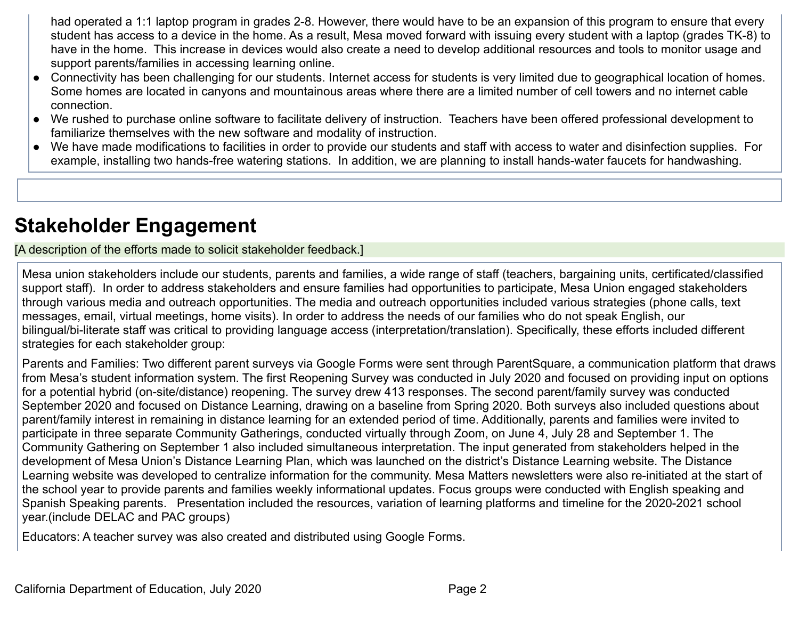had operated a 1:1 laptop program in grades 2-8. However, there would have to be an expansion of this program to ensure that every student has access to a device in the home. As a result, Mesa moved forward with issuing every student with a laptop (grades TK-8) to have in the home. This increase in devices would also create a need to develop additional resources and tools to monitor usage and support parents/families in accessing learning online.

- Connectivity has been challenging for our students. Internet access for students is very limited due to geographical location of homes. Some homes are located in canyons and mountainous areas where there are a limited number of cell towers and no internet cable connection.
- We rushed to purchase online software to facilitate delivery of instruction. Teachers have been offered professional development to familiarize themselves with the new software and modality of instruction.
- We have made modifications to facilities in order to provide our students and staff with access to water and disinfection supplies. For example, installing two hands-free watering stations. In addition, we are planning to install hands-water faucets for handwashing.

### **Stakeholder Engagement**

[A description of the efforts made to solicit stakeholder feedback.]

Mesa union stakeholders include our students, parents and families, a wide range of staff (teachers, bargaining units, certificated/classified support staff). In order to address stakeholders and ensure families had opportunities to participate, Mesa Union engaged stakeholders through various media and outreach opportunities. The media and outreach opportunities included various strategies (phone calls, text messages, email, virtual meetings, home visits). In order to address the needs of our families who do not speak English, our bilingual/bi-literate staff was critical to providing language access (interpretation/translation). Specifically, these efforts included different strategies for each stakeholder group:

Parents and Families: Two different parent surveys via Google Forms were sent through ParentSquare, a communication platform that draws from Mesa's student information system. The first Reopening Survey was conducted in July 2020 and focused on providing input on options for a potential hybrid (on-site/distance) reopening. The survey drew 413 responses. The second parent/family survey was conducted September 2020 and focused on Distance Learning, drawing on a baseline from Spring 2020. Both surveys also included questions about parent/family interest in remaining in distance learning for an extended period of time. Additionally, parents and families were invited to participate in three separate Community Gatherings, conducted virtually through Zoom, on June 4, July 28 and September 1. The Community Gathering on September 1 also included simultaneous interpretation. The input generated from stakeholders helped in the development of Mesa Union's Distance Learning Plan, which was launched on the district's Distance Learning website. The Distance Learning website was developed to centralize information for the community. Mesa Matters newsletters were also re-initiated at the start of the school year to provide parents and families weekly informational updates. Focus groups were conducted with English speaking and Spanish Speaking parents. Presentation included the resources, variation of learning platforms and timeline for the 2020-2021 school year.(include DELAC and PAC groups)

Educators: A teacher survey was also created and distributed using Google Forms.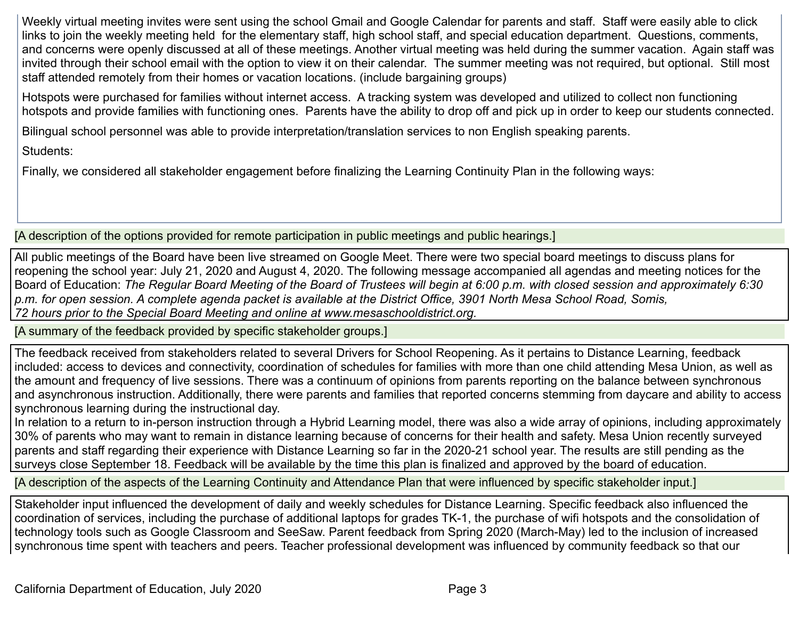Weekly virtual meeting invites were sent using the school Gmail and Google Calendar for parents and staff. Staff were easily able to click links to join the weekly meeting held for the elementary staff, high school staff, and special education department. Questions, comments, and concerns were openly discussed at all of these meetings. Another virtual meeting was held during the summer vacation. Again staff was invited through their school email with the option to view it on their calendar. The summer meeting was not required, but optional. Still most staff attended remotely from their homes or vacation locations. (include bargaining groups)

Hotspots were purchased for families without internet access. A tracking system was developed and utilized to collect non functioning hotspots and provide families with functioning ones. Parents have the ability to drop off and pick up in order to keep our students connected.

Bilingual school personnel was able to provide interpretation/translation services to non English speaking parents.

Students:

Finally, we considered all stakeholder engagement before finalizing the Learning Continuity Plan in the following ways:

[A description of the options provided for remote participation in public meetings and public hearings.]

All public meetings of the Board have been live streamed on Google Meet. There were two special board meetings to discuss plans for reopening the school year: July 21, 2020 and August 4, 2020. The following message accompanied all agendas and meeting notices for the Board of Education: *The Regular Board Meeting of the Board of Trustees will begin at 6:00 p.m. with closed session and approximately 6:30 p.m. for open session. A complete agenda packet is available at the District Office, 3901 North Mesa School Road, Somis, 72 hours prior to the Special Board Meeting and online at www.mesaschooldistrict.org.*

[A summary of the feedback provided by specific stakeholder groups.]

The feedback received from stakeholders related to several Drivers for School Reopening. As it pertains to Distance Learning, feedback included: access to devices and connectivity, coordination of schedules for families with more than one child attending Mesa Union, as well as the amount and frequency of live sessions. There was a continuum of opinions from parents reporting on the balance between synchronous and asynchronous instruction. Additionally, there were parents and families that reported concerns stemming from daycare and ability to access synchronous learning during the instructional day.

In relation to a return to in-person instruction through a Hybrid Learning model, there was also a wide array of opinions, including approximately 30% of parents who may want to remain in distance learning because of concerns for their health and safety. Mesa Union recently surveyed parents and staff regarding their experience with Distance Learning so far in the 2020-21 school year. The results are still pending as the surveys close September 18. Feedback will be available by the time this plan is finalized and approved by the board of education.

[A description of the aspects of the Learning Continuity and Attendance Plan that were influenced by specific stakeholder input.]

Stakeholder input influenced the development of daily and weekly schedules for Distance Learning. Specific feedback also influenced the coordination of services, including the purchase of additional laptops for grades TK-1, the purchase of wifi hotspots and the consolidation of technology tools such as Google Classroom and SeeSaw. Parent feedback from Spring 2020 (March-May) led to the inclusion of increased synchronous time spent with teachers and peers. Teacher professional development was influenced by community feedback so that our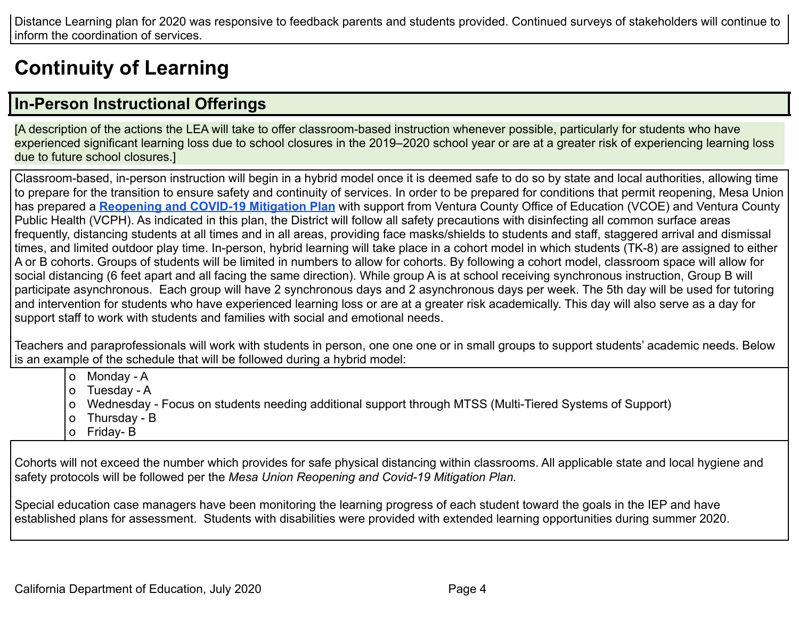Distance Learning plan for 2020 was responsive to feedback parents and students provided. Continued surveys of stakeholders will continue to inform the coordination of services.

## **Continuity of Learning**

### **In-Person Instructional Offerings**

[A description of the actions the LEA will take to offer classroom-based instruction whenever possible, particularly for students who have experienced significant learning loss due to school closures in the 2019–2020 school year or are at a greater risk of experiencing learning loss due to future school closures.]

Classroom-based, in-person instruction will begin in a hybrid model once it is deemed safe to do so by state and local authorities, allowing time to prepare for the transition to ensure safety and continuity of services. In order to be prepared for conditions that permit reopening, Mesa Union has prepared a **[Reopening and COVID-19 Mitigation Plan](https://sites.google.com/mesaschool.org/mesamovingforward/mesa-moving-forward/district-plans)** with support from Ventura County Office of Education (VCOE) and Ventura County Public Health (VCPH). As indicated in this plan, the District will follow all safety precautions with disinfecting all common surface areas frequently, distancing students at all times and in all areas, providing face masks/shields to students and staff, staggered arrival and dismissal times, and limited outdoor play time. In-person, hybrid learning will take place in a cohort model in which students (TK-8) are assigned to either A or B cohorts. Groups of students will be limited in numbers to allow for cohorts. By following a cohort model, classroom space will allow for social distancing (6 feet apart and all facing the same direction). While group A is at school receiving synchronous instruction, Group B will participate asynchronous. Each group will have 2 synchronous days and 2 asynchronous days per week. The 5th day will be used for tutoring and intervention for students who have experienced learning loss or are at a greater risk academically. This day will also serve as a day for support staff to work with students and families with social and emotional needs.

Teachers and paraprofessionals will work with students in person, one one one or in small groups to support students' academic needs. Below is an example of the schedule that will be followed during a hybrid model:

- o Monday A
- o Tuesday A
- o Wednesday Focus on students needing additional support through MTSS (Multi-Tiered Systems of Support)
- o Thursday B
- o Friday- B

Cohorts will not exceed the number which provides for safe physical distancing within classrooms. All applicable state and local hygiene and safety protocols will be followed per the *Mesa Union Reopening and Covid-19 Mitigation Plan.*

Special education case managers have been monitoring the learning progress of each student toward the goals in the IEP and have established plans for assessment. Students with disabilities were provided with extended learning opportunities during summer 2020.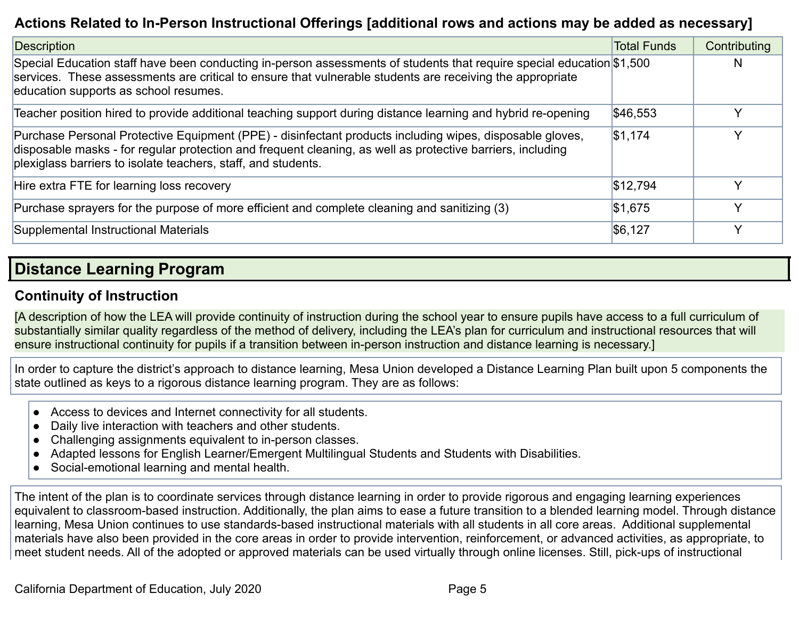#### **Actions Related to In-Person Instructional Offerings [additional rows and actions may be added as necessary]**

| Description                                                                                                                                                                                                                                                                             | <b>Total Funds</b> | Contributing |
|-----------------------------------------------------------------------------------------------------------------------------------------------------------------------------------------------------------------------------------------------------------------------------------------|--------------------|--------------|
| Special Education staff have been conducting in-person assessments of students that require special education \$1,500<br>services. These assessments are critical to ensure that vulnerable students are receiving the appropriate<br>education supports as school resumes.             |                    | N            |
| Teacher position hired to provide additional teaching support during distance learning and hybrid re-opening                                                                                                                                                                            | \$46,553           | $\checkmark$ |
| Purchase Personal Protective Equipment (PPE) - disinfectant products including wipes, disposable gloves,<br>disposable masks - for regular protection and frequent cleaning, as well as protective barriers, including<br>plexiglass barriers to isolate teachers, staff, and students. | \$1,174            | $\checkmark$ |
| Hire extra FTE for learning loss recovery                                                                                                                                                                                                                                               | \$12,794           | v            |
| Purchase sprayers for the purpose of more efficient and complete cleaning and sanitizing (3)                                                                                                                                                                                            | \$1,675            | $\checkmark$ |
| Supplemental Instructional Materials                                                                                                                                                                                                                                                    | \$6,127            | $\checkmark$ |

### **Distance Learning Program**

#### **Continuity of Instruction**

[A description of how the LEA will provide continuity of instruction during the school year to ensure pupils have access to a full curriculum of substantially similar quality regardless of the method of delivery, including the LEA's plan for curriculum and instructional resources that will ensure instructional continuity for pupils if a transition between in-person instruction and distance learning is necessary.]

In order to capture the district's approach to distance learning, Mesa Union developed a Distance Learning Plan built upon 5 components the state outlined as keys to a rigorous distance learning program. They are as follows:

- Access to devices and Internet connectivity for all students.
- Daily live interaction with teachers and other students.
- Challenging assignments equivalent to in-person classes.
- Adapted lessons for English Learner/Emergent Multilingual Students and Students with Disabilities.
- Social-emotional learning and mental health.

The intent of the plan is to coordinate services through distance learning in order to provide rigorous and engaging learning experiences equivalent to classroom-based instruction. Additionally, the plan aims to ease a future transition to a blended learning model. Through distance learning, Mesa Union continues to use standards-based instructional materials with all students in all core areas. Additional supplemental materials have also been provided in the core areas in order to provide intervention, reinforcement, or advanced activities, as appropriate, to meet student needs. All of the adopted or approved materials can be used virtually through online licenses. Still, pick-ups of instructional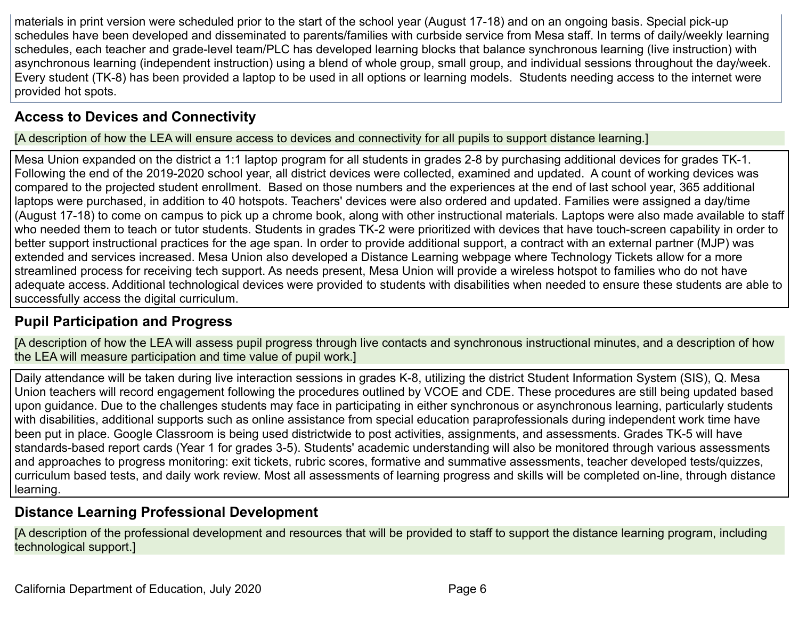materials in print version were scheduled prior to the start of the school year (August 17-18) and on an ongoing basis. Special pick-up schedules have been developed and disseminated to parents/families with curbside service from Mesa staff. In terms of daily/weekly learning schedules, each teacher and grade-level team/PLC has developed learning blocks that balance synchronous learning (live instruction) with asynchronous learning (independent instruction) using a blend of whole group, small group, and individual sessions throughout the day/week. Every student (TK-8) has been provided a laptop to be used in all options or learning models. Students needing access to the internet were provided hot spots.

### **Access to Devices and Connectivity**

[A description of how the LEA will ensure access to devices and connectivity for all pupils to support distance learning.]

Mesa Union expanded on the district a 1:1 laptop program for all students in grades 2-8 by purchasing additional devices for grades TK-1. Following the end of the 2019-2020 school year, all district devices were collected, examined and updated. A count of working devices was compared to the projected student enrollment. Based on those numbers and the experiences at the end of last school year, 365 additional laptops were purchased, in addition to 40 hotspots. Teachers' devices were also ordered and updated. Families were assigned a day/time (August 17-18) to come on campus to pick up a chrome book, along with other instructional materials. Laptops were also made available to staff who needed them to teach or tutor students. Students in grades TK-2 were prioritized with devices that have touch-screen capability in order to better support instructional practices for the age span. In order to provide additional support, a contract with an external partner (MJP) was extended and services increased. Mesa Union also developed a Distance Learning webpage where Technology Tickets allow for a more streamlined process for receiving tech support. As needs present, Mesa Union will provide a wireless hotspot to families who do not have adequate access. Additional technological devices were provided to students with disabilities when needed to ensure these students are able to successfully access the digital curriculum.

### **Pupil Participation and Progress**

[A description of how the LEA will assess pupil progress through live contacts and synchronous instructional minutes, and a description of how the LEA will measure participation and time value of pupil work.]

Daily attendance will be taken during live interaction sessions in grades K-8, utilizing the district Student Information System (SIS), Q. Mesa Union teachers will record engagement following the procedures outlined by VCOE and CDE. These procedures are still being updated based upon guidance. Due to the challenges students may face in participating in either synchronous or asynchronous learning, particularly students with disabilities, additional supports such as online assistance from special education paraprofessionals during independent work time have been put in place. Google Classroom is being used districtwide to post activities, assignments, and assessments. Grades TK-5 will have standards-based report cards (Year 1 for grades 3-5). Students' academic understanding will also be monitored through various assessments and approaches to progress monitoring: exit tickets, rubric scores, formative and summative assessments, teacher developed tests/quizzes, curriculum based tests, and daily work review. Most all assessments of learning progress and skills will be completed on-line, through distance learning.

#### **Distance Learning Professional Development**

[A description of the professional development and resources that will be provided to staff to support the distance learning program, including technological support.]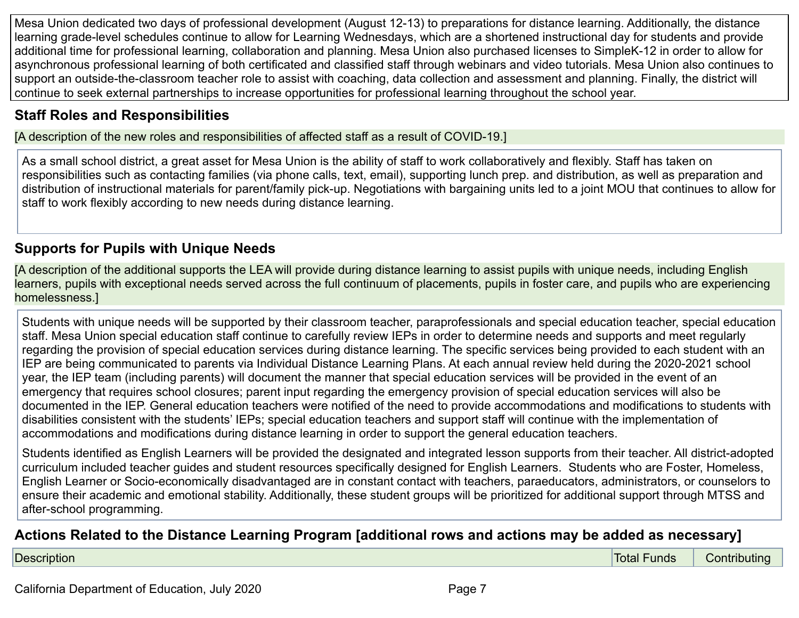Mesa Union dedicated two days of professional development (August 12-13) to preparations for distance learning. Additionally, the distance learning grade-level schedules continue to allow for Learning Wednesdays, which are a shortened instructional day for students and provide additional time for professional learning, collaboration and planning. Mesa Union also purchased licenses to SimpleK-12 in order to allow for asynchronous professional learning of both certificated and classified staff through webinars and video tutorials. Mesa Union also continues to support an outside-the-classroom teacher role to assist with coaching, data collection and assessment and planning. Finally, the district will continue to seek external partnerships to increase opportunities for professional learning throughout the school year.

#### **Staff Roles and Responsibilities**

[A description of the new roles and responsibilities of affected staff as a result of COVID-19.]

As a small school district, a great asset for Mesa Union is the ability of staff to work collaboratively and flexibly. Staff has taken on responsibilities such as contacting families (via phone calls, text, email), supporting lunch prep. and distribution, as well as preparation and distribution of instructional materials for parent/family pick-up. Negotiations with bargaining units led to a joint MOU that continues to allow for staff to work flexibly according to new needs during distance learning.

#### **Supports for Pupils with Unique Needs**

[A description of the additional supports the LEA will provide during distance learning to assist pupils with unique needs, including English learners, pupils with exceptional needs served across the full continuum of placements, pupils in foster care, and pupils who are experiencing homelessness.]

Students with unique needs will be supported by their classroom teacher, paraprofessionals and special education teacher, special education staff. Mesa Union special education staff continue to carefully review IEPs in order to determine needs and supports and meet regularly regarding the provision of special education services during distance learning. The specific services being provided to each student with an IEP are being communicated to parents via Individual Distance Learning Plans. At each annual review held during the 2020-2021 school year, the IEP team (including parents) will document the manner that special education services will be provided in the event of an emergency that requires school closures; parent input regarding the emergency provision of special education services will also be documented in the IEP. General education teachers were notified of the need to provide accommodations and modifications to students with disabilities consistent with the students' IEPs; special education teachers and support staff will continue with the implementation of accommodations and modifications during distance learning in order to support the general education teachers.

Students identified as English Learners will be provided the designated and integrated lesson supports from their teacher. All district-adopted curriculum included teacher guides and student resources specifically designed for English Learners. Students who are Foster, Homeless, English Learner or Socio-economically disadvantaged are in constant contact with teachers, paraeducators, administrators, or counselors to ensure their academic and emotional stability. Additionally, these student groups will be prioritized for additional support through MTSS and after-school programming.

#### **Actions Related to the Distance Learning Program [additional rows and actions may be added as necessary]**

| <b>Description</b> | unds<br>Tota. | .<br>$-$<br>------<br>.<br>.nr<br>1DI<br>ш |
|--------------------|---------------|--------------------------------------------|
|                    |               |                                            |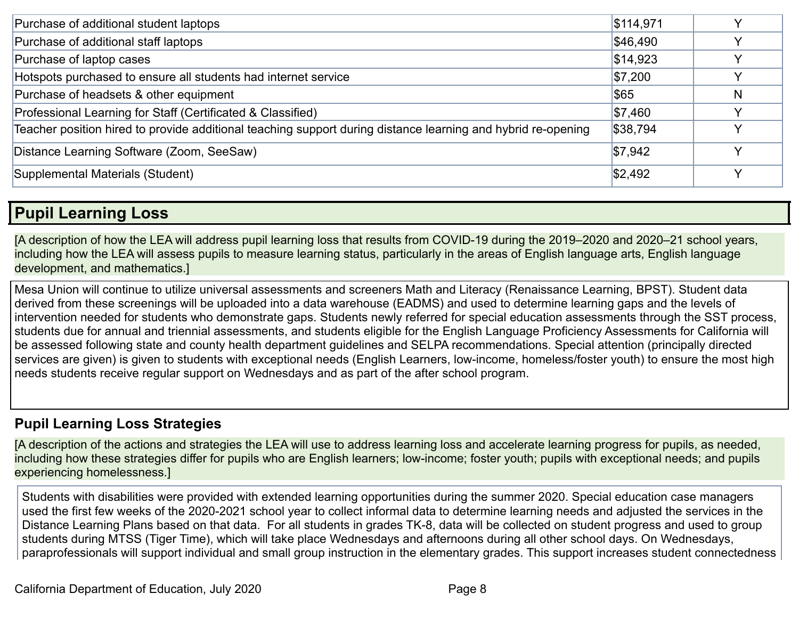| Purchase of additional student laptops                                                                       | \$114,971 |              |
|--------------------------------------------------------------------------------------------------------------|-----------|--------------|
| Purchase of additional staff laptops                                                                         | \$46,490  |              |
| Purchase of laptop cases                                                                                     | \$14,923  |              |
| Hotspots purchased to ensure all students had internet service                                               | \$7,200   |              |
| Purchase of headsets & other equipment                                                                       | \$65      | N            |
| Professional Learning for Staff (Certificated & Classified)                                                  | \$7,460   |              |
| Teacher position hired to provide additional teaching support during distance learning and hybrid re-opening | \$38,794  |              |
| Distance Learning Software (Zoom, SeeSaw)                                                                    | \$7,942   | $\checkmark$ |
| Supplemental Materials (Student)                                                                             | \$2,492   | $\checkmark$ |

### **Pupil Learning Loss**

[A description of how the LEA will address pupil learning loss that results from COVID-19 during the 2019–2020 and 2020–21 school years, including how the LEA will assess pupils to measure learning status, particularly in the areas of English language arts, English language development, and mathematics.]

Mesa Union will continue to utilize universal assessments and screeners Math and Literacy (Renaissance Learning, BPST). Student data derived from these screenings will be uploaded into a data warehouse (EADMS) and used to determine learning gaps and the levels of intervention needed for students who demonstrate gaps. Students newly referred for special education assessments through the SST process, students due for annual and triennial assessments, and students eligible for the English Language Proficiency Assessments for California will be assessed following state and county health department guidelines and SELPA recommendations. Special attention (principally directed services are given) is given to students with exceptional needs (English Learners, low-income, homeless/foster youth) to ensure the most high needs students receive regular support on Wednesdays and as part of the after school program.

#### **Pupil Learning Loss Strategies**

[A description of the actions and strategies the LEA will use to address learning loss and accelerate learning progress for pupils, as needed, including how these strategies differ for pupils who are English learners; low-income; foster youth; pupils with exceptional needs; and pupils experiencing homelessness.]

Students with disabilities were provided with extended learning opportunities during the summer 2020. Special education case managers used the first few weeks of the 2020-2021 school year to collect informal data to determine learning needs and adjusted the services in the Distance Learning Plans based on that data. For all students in grades TK-8, data will be collected on student progress and used to group students during MTSS (Tiger Time), which will take place Wednesdays and afternoons during all other school days. On Wednesdays, paraprofessionals will support individual and small group instruction in the elementary grades. This support increases student connectedness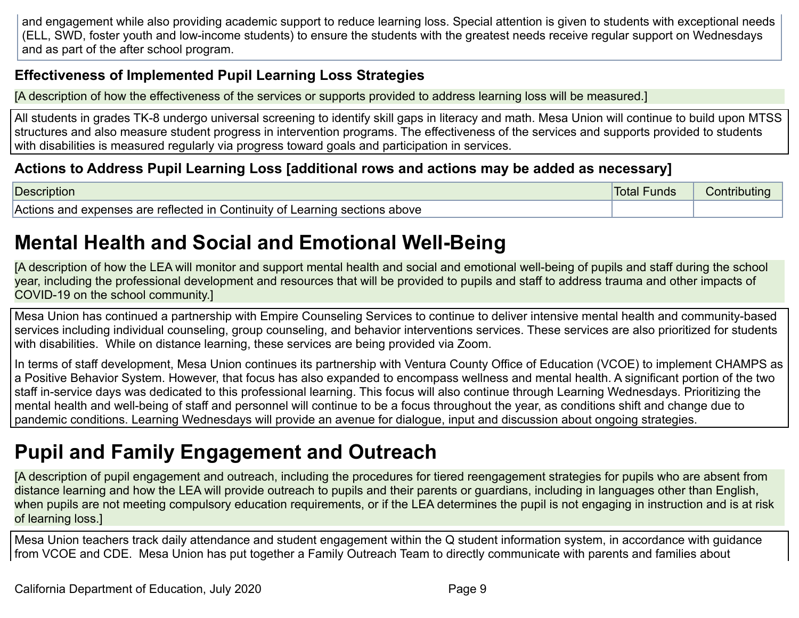and engagement while also providing academic support to reduce learning loss. Special attention is given to students with exceptional needs (ELL, SWD, foster youth and low-income students) to ensure the students with the greatest needs receive regular support on Wednesdays and as part of the after school program.

#### **Effectiveness of Implemented Pupil Learning Loss Strategies**

[A description of how the effectiveness of the services or supports provided to address learning loss will be measured.]

All students in grades TK-8 undergo universal screening to identify skill gaps in literacy and math. Mesa Union will continue to build upon MTSS structures and also measure student progress in intervention programs. The effectiveness of the services and supports provided to students with disabilities is measured regularly via progress toward goals and participation in services.

#### **Actions to Address Pupil Learning Loss [additional rows and actions may be added as necessary]**

| Description                                                                 | Total <b>s</b><br>unds | Contributing |
|-----------------------------------------------------------------------------|------------------------|--------------|
| Actions and expenses are reflected in Continuity of Learning sections above |                        |              |

## **Mental Health and Social and Emotional Well-Being**

[A description of how the LEA will monitor and support mental health and social and emotional well-being of pupils and staff during the school year, including the professional development and resources that will be provided to pupils and staff to address trauma and other impacts of COVID-19 on the school community.]

Mesa Union has continued a partnership with Empire Counseling Services to continue to deliver intensive mental health and community-based services including individual counseling, group counseling, and behavior interventions services. These services are also prioritized for students with disabilities. While on distance learning, these services are being provided via Zoom.

In terms of staff development, Mesa Union continues its partnership with Ventura County Office of Education (VCOE) to implement CHAMPS as a Positive Behavior System. However, that focus has also expanded to encompass wellness and mental health. A significant portion of the two staff in-service days was dedicated to this professional learning. This focus will also continue through Learning Wednesdays. Prioritizing the mental health and well-being of staff and personnel will continue to be a focus throughout the year, as conditions shift and change due to pandemic conditions. Learning Wednesdays will provide an avenue for dialogue, input and discussion about ongoing strategies.

## **Pupil and Family Engagement and Outreach**

[A description of pupil engagement and outreach, including the procedures for tiered reengagement strategies for pupils who are absent from distance learning and how the LEA will provide outreach to pupils and their parents or guardians, including in languages other than English, when pupils are not meeting compulsory education requirements, or if the LEA determines the pupil is not engaging in instruction and is at risk of learning loss.]

Mesa Union teachers track daily attendance and student engagement within the Q student information system, in accordance with guidance from VCOE and CDE. Mesa Union has put together a Family Outreach Team to directly communicate with parents and families about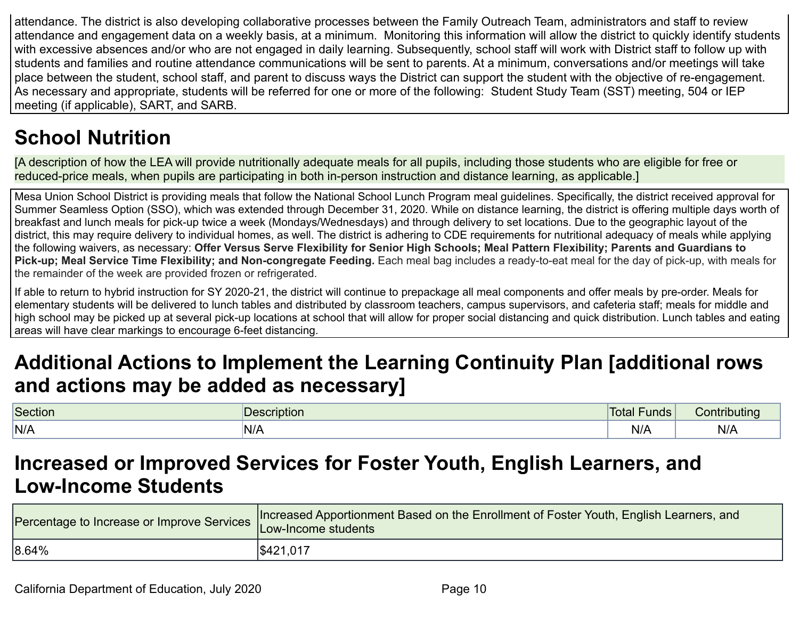attendance. The district is also developing collaborative processes between the Family Outreach Team, administrators and staff to review attendance and engagement data on a weekly basis, at a minimum. Monitoring this information will allow the district to quickly identify students with excessive absences and/or who are not engaged in daily learning. Subsequently, school staff will work with District staff to follow up with students and families and routine attendance communications will be sent to parents. At a minimum, conversations and/or meetings will take place between the student, school staff, and parent to discuss ways the District can support the student with the objective of re-engagement. As necessary and appropriate, students will be referred for one or more of the following: Student Study Team (SST) meeting, 504 or IEP meeting (if applicable), SART, and SARB.

## **School Nutrition**

[A description of how the LEA will provide nutritionally adequate meals for all pupils, including those students who are eligible for free or reduced-price meals, when pupils are participating in both in-person instruction and distance learning, as applicable.]

Mesa Union School District is providing meals that follow the National School Lunch Program meal guidelines. Specifically, the district received approval for Summer Seamless Option (SSO), which was extended through December 31, 2020. While on distance learning, the district is offering multiple days worth of breakfast and lunch meals for pick-up twice a week (Mondays/Wednesdays) and through delivery to set locations. Due to the geographic layout of the district, this may require delivery to individual homes, as well. The district is adhering to CDE requirements for nutritional adequacy of meals while applying the following waivers, as necessary: Offer Versus Serve Flexibility for Senior High Schools; Meal Pattern Flexibility; Parents and Guardians to **Pick-up; Meal Service Time Flexibility; and Non-congregate Feeding.** Each meal bag includes a ready-to-eat meal for the day of pick-up, with meals for the remainder of the week are provided frozen or refrigerated.

If able to return to hybrid instruction for SY 2020-21, the district will continue to prepackage all meal components and offer meals by pre-order. Meals for elementary students will be delivered to lunch tables and distributed by classroom teachers, campus supervisors, and cafeteria staff; meals for middle and high school may be picked up at several pick-up locations at school that will allow for proper social distancing and quick distribution. Lunch tables and eating areas will have clear markings to encourage 6-feet distancing.

### **Additional Actions to Implement the Learning Continuity Plan [additional rows and actions may be added as necessary]**

| Section | riptior | unds<br>Total | .<br>∶ontributino |
|---------|---------|---------------|-------------------|
| N/A     | N/r     | N/            | N/A               |

### **Increased or Improved Services for Foster Youth, English Learners, and Low-Income Students**

| Procentage to Increase or Improve Services Low-Income students | Increased Apportionment Based on the Enrollment of Foster Youth, English Learners, and |
|----------------------------------------------------------------|----------------------------------------------------------------------------------------|
| 8.64%                                                          | \$421,017                                                                              |